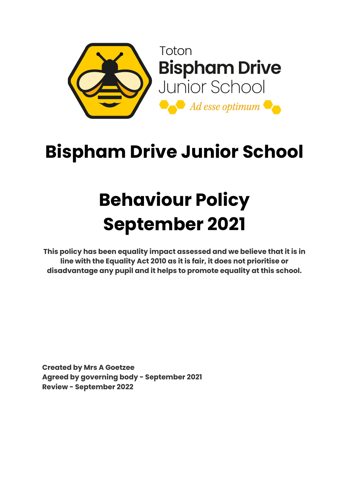

## **Bispham Drive Junior School**

# **Behaviour Policy September 2021**

**This policy has been equality impact assessed and we believe that it is in line with the Equality Act 2010 as it is fair, it does not prioritise or disadvantage any pupil and it helps to promote equality at this school.**

**Created by Mrs A Goetzee Agreed by governing body - September 2021 Review - September 2022**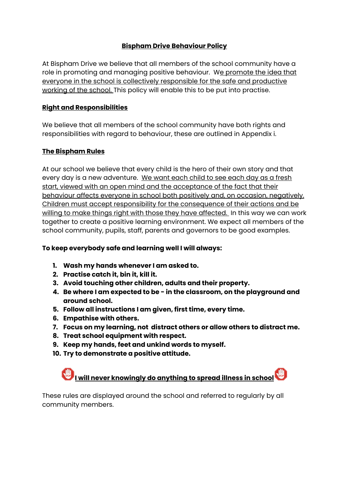#### **Bispham Drive Behaviour Policy**

At Bispham Drive we believe that all members of the school community have a role in promoting and managing positive behaviour. We promote the idea that everyone in the school is collectively responsible for the safe and productive working of the school. This policy will enable this to be put into practise.

#### **Right and Responsibilities**

We believe that all members of the school community have both rights and responsibilities with regard to behaviour, these are outlined in Appendix i.

#### **The Bispham Rules**

At our school we believe that every child is the hero of their own story and that every day is a new adventure. We want each child to see each day as a fresh start, viewed with an open mind and the acceptance of the fact that their behaviour affects everyone in school both positively and, on occasion, negatively. Children must accept responsibility for the consequence of their actions and be willing to make things right with those they have affected. In this way we can work together to create a positive learning environment. We expect all members of the school community, pupils, staff, parents and governors to be good examples.

#### **To keep everybody safe and learning well I will always:**

- **1. Wash my hands whenever I am asked to.**
- **2. Practise catch it, bin it, kill it.**
- **3. Avoid touching other children, adults and their property.**
- **4. Be where I am expected to be - in the classroom, on the playground and around school.**
- **5. Follow all instructions I am given, first time, every time.**
- **6. Empathise with others.**
- **7. Focus on my learning, not distract others or allow others to distract me.**
- **8. Treat school equipment with respect.**
- **9. Keep my hands, feet and unkind words to myself.**
- **10. Try to demonstrate a positive attitude.**

### **I will never knowingly do anything to spread illness in school**

These rules are displayed around the school and referred to regularly by all community members.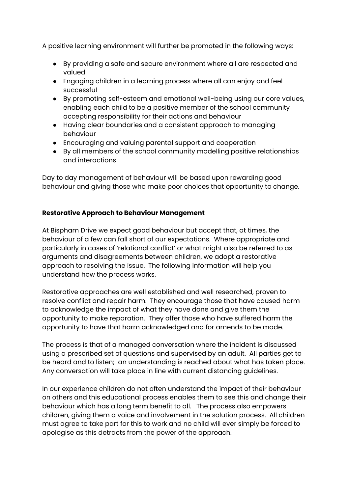A positive learning environment will further be promoted in the following ways:

- By providing a safe and secure environment where all are respected and valued
- Engaging children in a learning process where all can enjoy and feel successful
- By promoting self-esteem and emotional well-being using our core values, enabling each child to be a positive member of the school community accepting responsibility for their actions and behaviour
- Having clear boundaries and a consistent approach to managing behaviour
- Encouraging and valuing parental support and cooperation
- By all members of the school community modelling positive relationships and interactions

Day to day management of behaviour will be based upon rewarding good behaviour and giving those who make poor choices that opportunity to change.

#### **Restorative Approach to Behaviour Management**

At Bispham Drive we expect good behaviour but accept that, at times, the behaviour of a few can fall short of our expectations. Where appropriate and particularly in cases of 'relational conflict' or what might also be referred to as arguments and disagreements between children, we adopt a restorative approach to resolving the issue. The following information will help you understand how the process works.

Restorative approaches are well established and well researched, proven to resolve conflict and repair harm. They encourage those that have caused harm to acknowledge the impact of what they have done and give them the opportunity to make reparation. They offer those who have suffered harm the opportunity to have that harm acknowledged and for amends to be made.

The process is that of a managed conversation where the incident is discussed using a prescribed set of questions and supervised by an adult. All parties get to be heard and to listen; an understanding is reached about what has taken place. Any conversation will take place in line with current distancing guidelines.

In our experience children do not often understand the impact of their behaviour on others and this educational process enables them to see this and change their behaviour which has a long term benefit to all. The process also empowers children, giving them a voice and involvement in the solution process. All children must agree to take part for this to work and no child will ever simply be forced to apologise as this detracts from the power of the approach.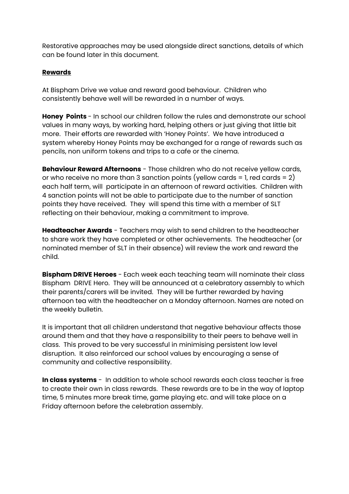Restorative approaches may be used alongside direct sanctions, details of which can be found later in this document.

#### **Rewards**

At Bispham Drive we value and reward good behaviour. Children who consistently behave well will be rewarded in a number of ways.

**Honey Points** - In school our children follow the rules and demonstrate our school values in many ways, by working hard, helping others or just giving that little bit more. Their efforts are rewarded with 'Honey Points'. We have introduced a system whereby Honey Points may be exchanged for a range of rewards such as pencils, non uniform tokens and trips to a cafe or the cinema.

**Behaviour Reward Afternoons** - Those children who do not receive yellow cards, or who receive no more than 3 sanction points (yellow cards = 1, red cards = 2) each half term, will participate in an afternoon of reward activities. Children with 4 sanction points will not be able to participate due to the number of sanction points they have received. They will spend this time with a member of SLT reflecting on their behaviour, making a commitment to improve.

**Headteacher Awards** - Teachers may wish to send children to the headteacher to share work they have completed or other achievements. The headteacher (or nominated member of SLT in their absence) will review the work and reward the child.

**Bispham DRIVE Heroes** - Each week each teaching team will nominate their class Bispham DRIVE Hero. They will be announced at a celebratory assembly to which their parents/carers will be invited. They will be further rewarded by having afternoon tea with the headteacher on a Monday afternoon. Names are noted on the weekly bulletin.

It is important that all children understand that negative behaviour affects those around them and that they have a responsibility to their peers to behave well in class. This proved to be very successful in minimising persistent low level disruption. It also reinforced our school values by encouraging a sense of community and collective responsibility.

**In class systems** - In addition to whole school rewards each class teacher is free to create their own in class rewards. These rewards are to be in the way of laptop time, 5 minutes more break time, game playing etc. and will take place on a Friday afternoon before the celebration assembly.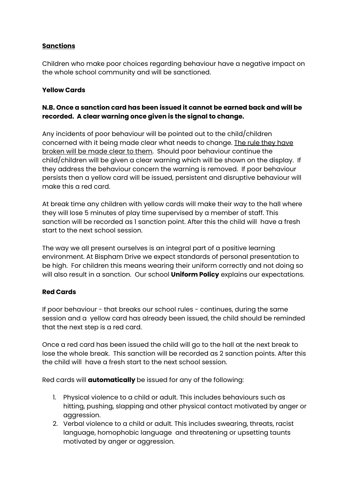#### **Sanctions**

Children who make poor choices regarding behaviour have a negative impact on the whole school community and will be sanctioned.

#### **Yellow Cards**

#### **N.B. Once a sanction card has been issued it cannot be earned back and will be recorded. A clear warning once given is the signal to change.**

Any incidents of poor behaviour will be pointed out to the child/children concerned with it being made clear what needs to change. The rule they have broken will be made clear to them. Should poor behaviour continue the child/children will be given a clear warning which will be shown on the display. If they address the behaviour concern the warning is removed. If poor behaviour persists then a yellow card will be issued, persistent and disruptive behaviour will make this a red card.

At break time any children with yellow cards will make their way to the hall where they will lose 5 minutes of play time supervised by a member of staff. This sanction will be recorded as 1 sanction point. After this the child will have a fresh start to the next school session.

The way we all present ourselves is an integral part of a positive learning environment. At Bispham Drive we expect standards of personal presentation to be high. For children this means wearing their uniform correctly and not doing so will also result in a sanction. Our school **Uniform Policy** explains our expectations.

#### **Red Cards**

If poor behaviour - that breaks our school rules - continues, during the same session and a yellow card has already been issued, the child should be reminded that the next step is a red card.

Once a red card has been issued the child will go to the hall at the next break to lose the whole break. This sanction will be recorded as 2 sanction points. After this the child will have a fresh start to the next school session.

Red cards will **automatically** be issued for any of the following:

- 1. Physical violence to a child or adult. This includes behaviours such as hitting, pushing, slapping and other physical contact motivated by anger or aggression.
- 2. Verbal violence to a child or adult. This includes swearing, threats, racist language, homophobic language and threatening or upsetting taunts motivated by anger or aggression.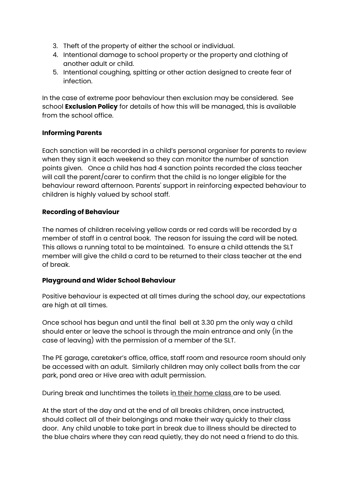- 3. Theft of the property of either the school or individual.
- 4. Intentional damage to school property or the property and clothing of another adult or child.
- 5. Intentional coughing, spitting or other action designed to create fear of infection.

In the case of extreme poor behaviour then exclusion may be considered. See school **Exclusion Policy** for details of how this will be managed, this is available from the school office.

#### **Informing Parents**

Each sanction will be recorded in a child's personal organiser for parents to review when they sign it each weekend so they can monitor the number of sanction points given. Once a child has had 4 sanction points recorded the class teacher will call the parent/carer to confirm that the child is no longer eligible for the behaviour reward afternoon. Parents' support in reinforcing expected behaviour to children is highly valued by school staff.

#### **Recording of Behaviour**

The names of children receiving yellow cards or red cards will be recorded by a member of staff in a central book. The reason for issuing the card will be noted. This allows a running total to be maintained. To ensure a child attends the SLT member will give the child a card to be returned to their class teacher at the end of break.

#### **Playground and Wider School Behaviour**

Positive behaviour is expected at all times during the school day, our expectations are high at all times.

Once school has begun and until the final bell at 3.30 pm the only way a child should enter or leave the school is through the main entrance and only (in the case of leaving) with the permission of a member of the SLT.

The PE garage, caretaker's office, office, staff room and resource room should only be accessed with an adult. Similarly children may only collect balls from the car park, pond area or Hive area with adult permission.

During break and lunchtimes the toilets in their home class are to be used.

At the start of the day and at the end of all breaks children, once instructed, should collect all of their belongings and make their way quickly to their class door. Any child unable to take part in break due to illness should be directed to the blue chairs where they can read quietly, they do not need a friend to do this.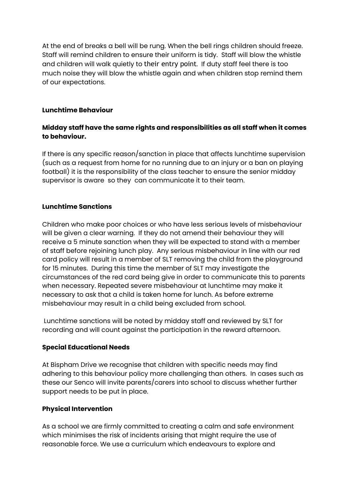At the end of breaks a bell will be rung. When the bell rings children should freeze. Staff will remind children to ensure their uniform is tidy. Staff will blow the whistle and children will walk quietly to their entry point. If duty staff feel there is too much noise they will blow the whistle again and when children stop remind them of our expectations.

#### **Lunchtime Behaviour**

#### **Midday staff have the same rights and responsibilities as all staff when it comes to behaviour.**

If there is any specific reason/sanction in place that affects lunchtime supervision (such as a request from home for no running due to an injury or a ban on playing football) it is the responsibility of the class teacher to ensure the senior midday supervisor is aware so they can communicate it to their team.

#### **Lunchtime Sanctions**

Children who make poor choices or who have less serious levels of misbehaviour will be given a clear warning. If they do not amend their behaviour they will receive a 5 minute sanction when they will be expected to stand with a member of staff before rejoining lunch play. Any serious misbehaviour in line with our red card policy will result in a member of SLT removing the child from the playground for 15 minutes. During this time the member of SLT may investigate the circumstances of the red card being give in order to communicate this to parents when necessary. Repeated severe misbehaviour at lunchtime may make it necessary to ask that a child is taken home for lunch. As before extreme misbehaviour may result in a child being excluded from school.

Lunchtime sanctions will be noted by midday staff and reviewed by SLT for recording and will count against the participation in the reward afternoon.

#### **Special Educational Needs**

At Bispham Drive we recognise that children with specific needs may find adhering to this behaviour policy more challenging than others. In cases such as these our Senco will invite parents/carers into school to discuss whether further support needs to be put in place.

#### **Physical Intervention**

As a school we are firmly committed to creating a calm and safe environment which minimises the risk of incidents arising that might require the use of reasonable force. We use a curriculum which endeavours to explore and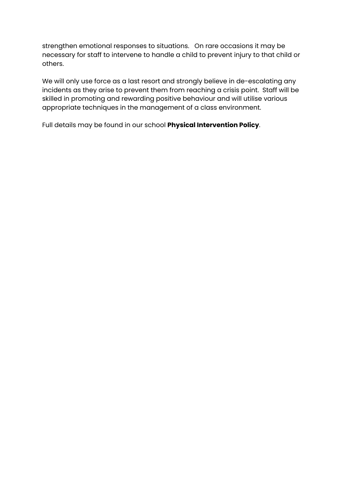strengthen emotional responses to situations. On rare occasions it may be necessary for staff to intervene to handle a child to prevent injury to that child or others.

We will only use force as a last resort and strongly believe in de-escalating any incidents as they arise to prevent them from reaching a crisis point. Staff will be skilled in promoting and rewarding positive behaviour and will utilise various appropriate techniques in the management of a class environment.

Full details may be found in our school **Physical Intervention Policy**.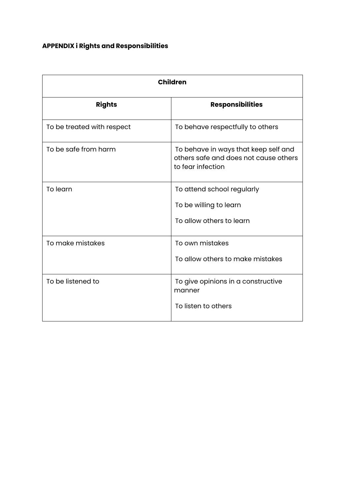### **APPENDIX i Rights and Responsibilities**

| <b>Children</b>            |                                                                                                    |
|----------------------------|----------------------------------------------------------------------------------------------------|
| <b>Rights</b>              | <b>Responsibilities</b>                                                                            |
| To be treated with respect | To behave respectfully to others                                                                   |
| To be safe from harm       | To behave in ways that keep self and<br>others safe and does not cause others<br>to fear infection |
| To learn                   | To attend school regularly<br>To be willing to learn<br>To allow others to learn                   |
| To make mistakes           | To own mistakes<br>To allow others to make mistakes                                                |
| To be listened to          | To give opinions in a constructive<br>manner<br>To listen to others                                |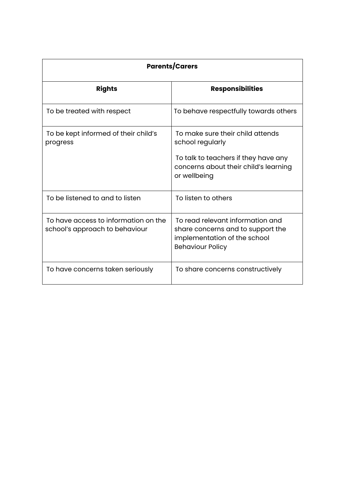| <b>Parents/Carers</b>                                                  |                                                                                                                                  |
|------------------------------------------------------------------------|----------------------------------------------------------------------------------------------------------------------------------|
| <b>Rights</b>                                                          | <b>Responsibilities</b>                                                                                                          |
| To be treated with respect                                             | To behave respectfully towards others                                                                                            |
| To be kept informed of their child's<br>progress                       | To make sure their child attends<br>school regularly                                                                             |
|                                                                        | To talk to teachers if they have any<br>concerns about their child's learning<br>or wellbeing                                    |
| To be listened to and to listen                                        | To listen to others                                                                                                              |
| To have access to information on the<br>school's approach to behaviour | To read relevant information and<br>share concerns and to support the<br>implementation of the school<br><b>Behaviour Policy</b> |
| To have concerns taken seriously                                       | To share concerns constructively                                                                                                 |